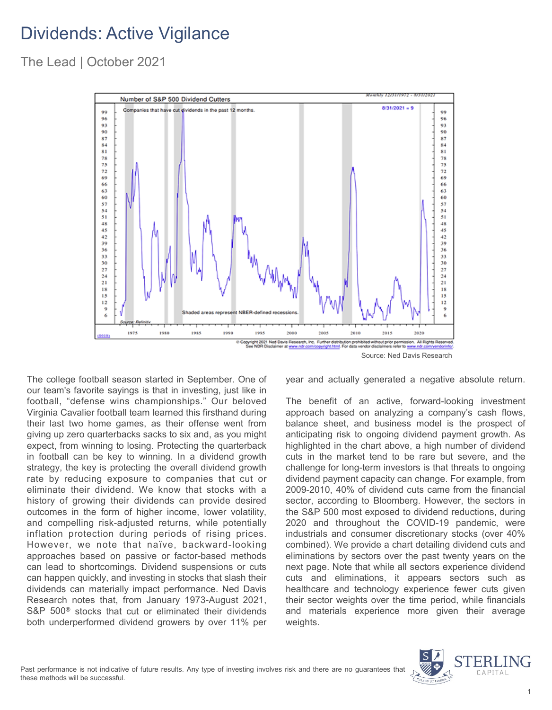## Dividends: Active Vigilance

The Lead | October 2021



The college football season started in September. One of our team's favorite sayings is that in investing, just like in football, "defense wins championships." Our beloved Virginia Cavalier football team learned this firsthand during their last two home games, as their offense went from giving up zero quarterbacks sacks to six and, as you might expect, from winning to losing. Protecting the quarterback in football can be key to winning. In a dividend growth strategy, the key is protecting the overall dividend growth rate by reducing exposure to companies that cut or eliminate their dividend. We know that stocks with a history of growing their dividends can provide desired outcomes in the form of higher income, lower volatility, and compelling risk-adjusted returns, while potentially inflation protection during periods of rising prices. However, we note that naïve, backward-looking approaches based on passive or factor-based methods can lead to shortcomings. Dividend suspensions or cuts can happen quickly, and investing in stocks that slash their dividends can materially impact performance. Ned Davis Research notes that, from January 1973-August 2021, S&P 500<sup>®</sup> stocks that cut or eliminated their dividends both underperformed dividend growers by over 11% per year and actually generated a negative absolute return.

The benefit of an active, forward-looking investment approach based on analyzing a company's cash flows, balance sheet, and business model is the prospect of anticipating risk to ongoing dividend payment growth. As highlighted in the chart above, a high number of dividend cuts in the market tend to be rare but severe, and the challenge for long-term investors is that threats to ongoing dividend payment capacity can change. For example, from 2009-2010, 40% of dividend cuts came from the financial sector, according to Bloomberg. However, the sectors in the S&P 500 most exposed to dividend reductions, during 2020 and throughout the COVID-19 pandemic, were industrials and consumer discretionary stocks (over 40% combined). We provide a chart detailing dividend cuts and eliminations by sectors over the past twenty years on the next page. Note that while all sectors experience dividend cuts and eliminations, it appears sectors such as healthcare and technology experience fewer cuts given their sector weights over the time period, while financials and materials experience more given their average weights.

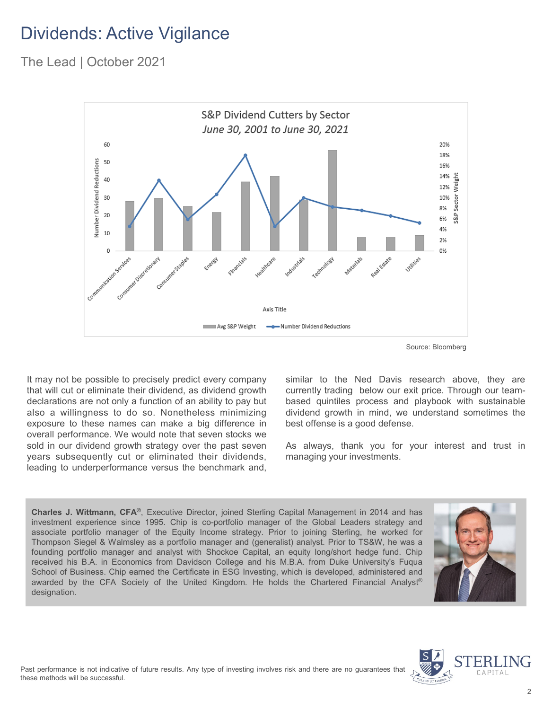## Dividends: Active Vigilance

The Lead | October 2021



Source: Bloomberg

It may not be possible to precisely predict every company that will cut or eliminate their dividend, as dividend growth declarations are not only a function of an ability to pay but also a willingness to do so. Nonetheless minimizing exposure to these names can make a big difference in overall performance. We would note that seven stocks we sold in our dividend growth strategy over the past seven years subsequently cut or eliminated their dividends, leading to underperformance versus the benchmark and,

similar to the Ned Davis research above, they are currently trading below our exit price. Through our teambased quintiles process and playbook with sustainable dividend growth in mind, we understand sometimes the best offense is a good defense.

As always, thank you for your interest and trust in managing your investments.

**Charles J. Wittmann, CFA®**, Executive Director, joined Sterling Capital Management in 2014 and has investment experience since 1995. Chip is co-portfolio manager of the Global Leaders strategy and associate portfolio manager of the Equity Income strategy. Prior to joining Sterling, he worked for Thompson Siegel & Walmsley as a portfolio manager and (generalist) analyst. Prior to TS&W, he was a founding portfolio manager and analyst with Shockoe Capital, an equity long/short hedge fund. Chip received his B.A. in Economics from Davidson College and his M.B.A. from Duke University's Fuqua School of Business. Chip earned the Certificate in ESG Investing, which is developed, administered and awarded by the CFA Society of the United Kingdom. He holds the Chartered Financial Analyst® designation.